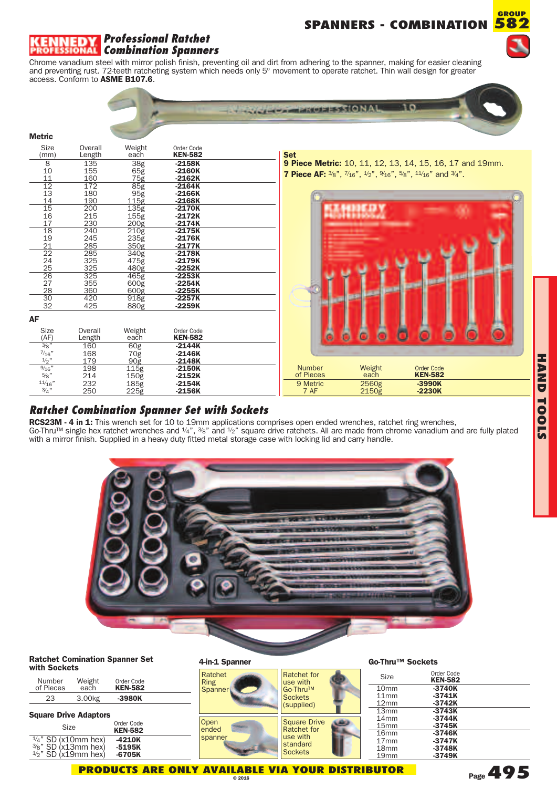# **SPANNERS - COMBINATION**



### *Professional Ratchet Combination Spanners*

 $\mathcal{L}$ 

Chrome vanadium steel with mirror polish finish, preventing oil and dirt from adhering to the spanner, making for easier cleaning and preventing rust. 72-teeth ratcheting system which needs only 5° movement to operate ratchet. Thin wall design for greater access. Conform to **ASME B107.6**.

|                                    |                   |                                                       |                              | <b>NATH PARTICULES STONAL</b>                                                                                                                    | 10                                                       |
|------------------------------------|-------------------|-------------------------------------------------------|------------------------------|--------------------------------------------------------------------------------------------------------------------------------------------------|----------------------------------------------------------|
| <b>Metric</b>                      |                   |                                                       |                              |                                                                                                                                                  |                                                          |
| <b>Size</b><br>(mm)                | Overall<br>Length | Weight<br>each                                        | Order Code<br><b>KEN-582</b> | <b>Set</b>                                                                                                                                       |                                                          |
| 8                                  | 135               |                                                       | $-2158K$                     |                                                                                                                                                  | 9 Piece Metric: 10, 11, 12, 13, 14, 15, 16, 17 and 19mm. |
| 10                                 | 155               | 38g<br>65g<br>75g                                     | $-2160K$                     |                                                                                                                                                  |                                                          |
| 11                                 | 160               |                                                       | $-2162K$                     | <b>7 Piece AF:</b> $\frac{3}{8}$ ", $\frac{7}{16}$ ", $\frac{4}{2}$ ", $\frac{9}{16}$ ", $\frac{5}{8}$ ", $\frac{11}{16}$ " and $\frac{3}{4}$ ". |                                                          |
| 12                                 | 172               | $\begin{array}{r}\n 85g \\ 95g \\ 115g\n \end{array}$ | $-2164K$                     |                                                                                                                                                  |                                                          |
| 13                                 | 180               |                                                       | $-2166K$                     |                                                                                                                                                  |                                                          |
| 14<br>15                           | 190<br>200        | 135g                                                  | $-2168K$<br>$-2170K$         |                                                                                                                                                  |                                                          |
|                                    | 215               | 155g                                                  | $-2172K$                     |                                                                                                                                                  |                                                          |
| $\frac{16}{17}$                    | 230               | 200g                                                  | $-2174K$                     |                                                                                                                                                  |                                                          |
| 18                                 | 240               | 210 <sub>g</sub>                                      | $-2175K$                     |                                                                                                                                                  |                                                          |
| 19                                 | 245               | 235g                                                  | $-2176K$                     |                                                                                                                                                  |                                                          |
| 21                                 | 285               | 350 <sub>g</sub>                                      | $-2177K$                     |                                                                                                                                                  |                                                          |
| $\overline{22}$                    | 285               | 340g<br>475g                                          | $-2178K$                     |                                                                                                                                                  |                                                          |
|                                    | 325<br>325        | $480\bar{g}$                                          | $-2179K$<br>$-2252K$         |                                                                                                                                                  |                                                          |
| $\frac{24}{25}$<br>$\frac{25}{26}$ | 325               | 465g                                                  | $-2253K$                     |                                                                                                                                                  |                                                          |
| $\overline{27}$                    | 355               | 600g                                                  | $-2254K$                     |                                                                                                                                                  |                                                          |
|                                    | 360               | 600 <sub>g</sub>                                      | $-2255K$                     |                                                                                                                                                  |                                                          |
| $\frac{28}{30}$                    | 420               | 918g                                                  | $-2257K$                     |                                                                                                                                                  |                                                          |
| 32                                 | 425               | 880g                                                  | $-2259K$                     |                                                                                                                                                  |                                                          |
| AF                                 |                   |                                                       |                              |                                                                                                                                                  |                                                          |
| Size<br>(AF)                       | Overall<br>Length | Weight<br>each                                        | Order Code<br><b>KEN-582</b> |                                                                                                                                                  |                                                          |
| $\frac{3}{8}$ "                    | 160               | 60g                                                   | $-2144K$                     |                                                                                                                                                  |                                                          |
| $\frac{7}{16}$ "                   | 168               | 70 <sub>g</sub>                                       | $-2146K$                     |                                                                                                                                                  |                                                          |
| 1/2"                               | 179               | 90 <sub>g</sub>                                       | $-2148K$                     |                                                                                                                                                  |                                                          |
| 9/16"                              | 198               | 115g                                                  | $-2150K$                     | Weight<br><b>Number</b><br>of Pieces<br>each                                                                                                     | <b>Order Code</b><br><b>KEN-582</b>                      |
| 5/8"<br>11/16"                     | 214<br>232        | 150 <sub>g</sub><br>185g                              | $-2152K$<br>$-2154K$         | 2560g<br>9 Metric                                                                                                                                | $-3990K$                                                 |
| 3/4"                               | 250               | 225g                                                  | $-2156K$                     | 7 AF<br>2150g                                                                                                                                    | $-2230K$                                                 |
|                                    |                   |                                                       |                              |                                                                                                                                                  |                                                          |

## *Ratchet Combination Spanner Set with Sockets*

**RCS23M - 4 in 1:** This wrench set for 10 to 19mm applications comprises open ended wrenches, ratchet ring wrenches, Go-Thru™ single hex ratchet wrenches and ¼", ¾" and ½" square drive ratchets. All are made from chrome vanadium and are fully plated with a mirror finish. Supplied in a heavy duty fitted metal storage case with locking lid and carry handle.



#### **Ratchet Comination Spanner Set with Sockets**

| Number<br>of Pieces          |  | Weight<br>each     | Order Code<br><b>KEN-582</b> |  |
|------------------------------|--|--------------------|------------------------------|--|
| 23                           |  | 3.00 <sub>kg</sub> | $-3980K$                     |  |
| <b>Square Drive Adaptors</b> |  |                    |                              |  |

| Size                                                                                           | Order Code<br><b>KEN-582</b>     |
|------------------------------------------------------------------------------------------------|----------------------------------|
| $\frac{1}{4}$ SD (x10mm hex)<br>$\frac{3}{8}$ SD (x13mm hex)<br>$\frac{1}{2}$ " SD (x19mm hex) | $-4210K$<br>$-5195K$<br>$-6705K$ |
|                                                                                                |                                  |

#### **4-in-1 Spanner**

| THE SPAINT                        |                                                                                     |  |  |  |
|-----------------------------------|-------------------------------------------------------------------------------------|--|--|--|
| Ratchet<br><b>Ring</b><br>Spanner | <b>Ratchet for</b><br>use with<br>Go-Thru™<br><b>Sockets</b><br>(supplied)          |  |  |  |
| Open<br>ended<br>spanner          | <b>Square Drive</b><br><b>Ratchet for</b><br>use with<br>standard<br><b>Sockets</b> |  |  |  |

### **Go-Thru™ Sockets**

| Size             | Order Code<br><b>KEN-582</b> |  |
|------------------|------------------------------|--|
| 10 <sub>mm</sub> | $-3740K$                     |  |
| 11mm             | $-3741K$                     |  |
| 12mm             | $-3742K$                     |  |
| 13mm             | $-3743K$                     |  |
| 14 <sub>mm</sub> | $-3744K$                     |  |
| 15mm             | $-3745K$                     |  |
| 16 <sub>mm</sub> | $-3746K$                     |  |
| 17 <sub>mm</sub> | $-3747K$                     |  |
| 18 <sub>mm</sub> | $-3748K$                     |  |
| 19 <sub>mm</sub> | $-3749K$                     |  |